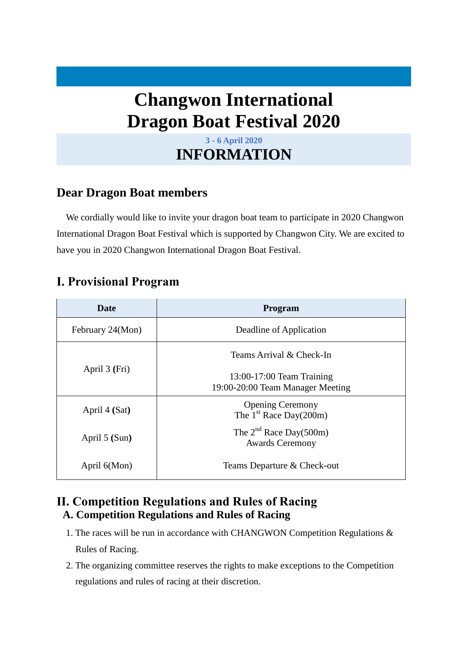# **Changwon International Dragon Boat Festival 2020**

## **3 - 6 April 2020 INFORMATION**

## **Dear Dragon Boat members**

We cordially would like to invite your dragon boat team to participate in 2020 Changwon International Dragon Boat Festival which is supported by Changwon City. We are excited to have you in 2020 Changwon International Dragon Boat Festival.

# **Ⅰ. Provisional Program**

| <b>Date</b>      | Program                                                       |  |  |
|------------------|---------------------------------------------------------------|--|--|
| February 24(Mon) | Deadline of Application                                       |  |  |
| April 3 (Fri)    | Teams Arrival & Check-In                                      |  |  |
|                  | 13:00-17:00 Team Training<br>19:00-20:00 Team Manager Meeting |  |  |
| April 4 (Sat)    | <b>Opening Ceremony</b><br>The $1st$ Race Day(200m)           |  |  |
| April 5 (Sun)    | The $2^{nd}$ Race Day(500m)<br><b>Awards Ceremony</b>         |  |  |
| April 6(Mon)     | Teams Departure & Check-out                                   |  |  |

### **Ⅱ. Competition Regulations and Rules of Racing A. Competition Regulations and Rules of Racing**

- 1. The races will be run in accordance with CHANGWON Competition Regulations & Rules of Racing.
- 2. The organizing committee reserves the rights to make exceptions to the Competition regulations and rules of racing at their discretion.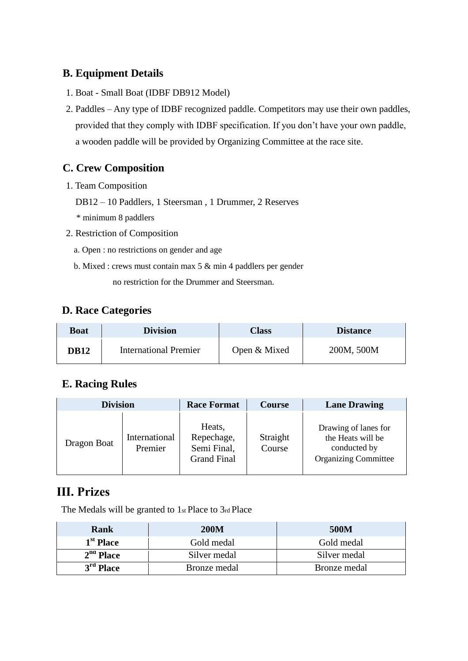### **B. Equipment Details**

- 1. Boat Small Boat (IDBF DB912 Model)
- 2. Paddles Any type of IDBF recognized paddle. Competitors may use their own paddles, provided that they comply with IDBF specification. If you don't have your own paddle, a wooden paddle will be provided by Organizing Committee at the race site.

### **C. Crew Composition**

- 1. Team Composition
	- DB12 10 Paddlers, 1 Steersman , 1 Drummer, 2 Reserves

\* minimum 8 paddlers

- 2. Restriction of Composition
	- a. Open : no restrictions on gender and age
	- b. Mixed : crews must contain max 5 & min 4 paddlers per gender

no restriction for the Drummer and Steersman.

### **D. Race Categories**

| Boat        | <b>Division</b>              | <b>Class</b> | <b>Distance</b> |
|-------------|------------------------------|--------------|-----------------|
| <b>DB12</b> | <b>International Premier</b> | Open & Mixed | 200M, 500M      |

#### **E. Racing Rules**

| <b>Division</b> |                          | <b>Race Format</b>                                        | <b>Course</b>      | <b>Lane Drawing</b>                                                                      |
|-----------------|--------------------------|-----------------------------------------------------------|--------------------|------------------------------------------------------------------------------------------|
| Dragon Boat     | International<br>Premier | Heats,<br>Repechage,<br>Semi Final,<br><b>Grand Final</b> | Straight<br>Course | Drawing of lanes for<br>the Heats will be<br>conducted by<br><b>Organizing Committee</b> |

### **Ⅲ. Prizes**

The Medals will be granted to 1st Place to 3rd Place

| <b>Rank</b>           | <b>200M</b>  | 500M         |
|-----------------------|--------------|--------------|
| 1 <sup>st</sup> Place | Gold medal   | Gold medal   |
| $2nd$ Place           | Silver medal | Silver medal |
| $3rd$ Place           | Bronze medal | Bronze medal |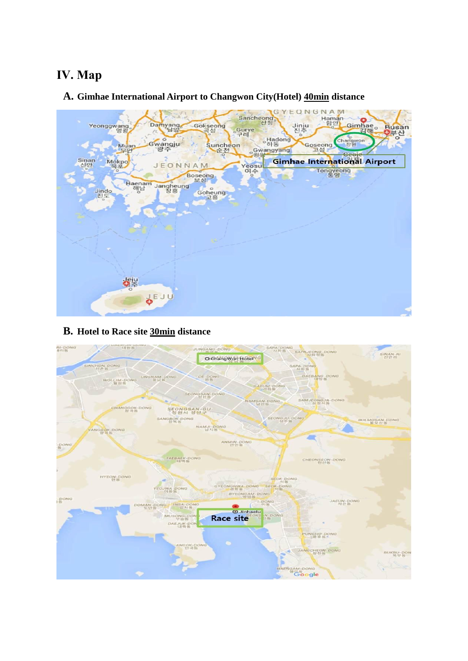# **Ⅳ. Map**

**A. Gimhae International Airport to Changwon City(Hotel) 40min distance**



#### **B. Hotel to Race site 30min distance**

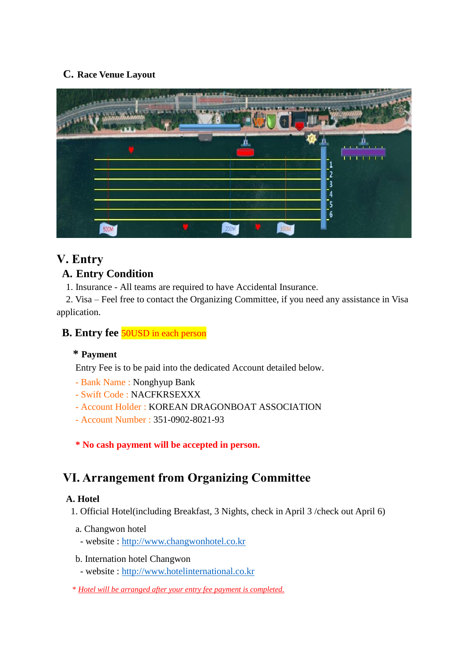#### **C. Race Venue Layout**



# **Ⅴ. Entry**

### **A. Entry Condition**

1. Insurance - All teams are required to have Accidental Insurance.

2. Visa – Feel free to contact the Organizing Committee, if you need any assistance in Visa application.

### **B. Entry fee 50USD** in each person

#### **\* Payment**

Entry Fee is to be paid into the dedicated Account detailed below.

- Bank Name : Nonghyup Bank
- Swift Code : NACFKRSEXXX
- Account Holder : KOREAN DRAGONBOAT ASSOCIATION
- Account Number : 351-0902-8021-93

**\* No cash payment will be accepted in person.**

# **Ⅵ. Arrangement from Organizing Committee**

#### **A. Hotel**

1. Official Hotel(including Breakfast, 3 Nights, check in April 3 /check out April 6)

- a. Changwon hotel
- website : [http://www.changwonhotel.co.kr](http://www.changwonhotel.co.kr/)
- b. Internation hotel Changwon
	- website : [http://www.hotelinternational.co.kr](http://www.hotelinternational.co.kr/)
- \* *Hotel will be arranged after your entry fee payment is completed.*